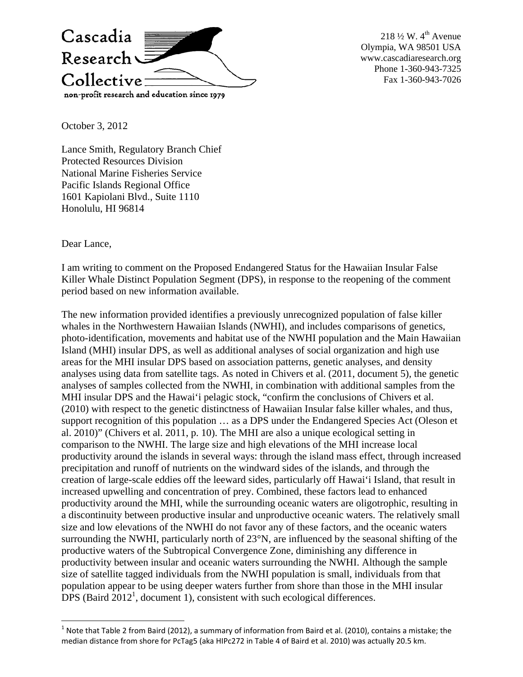

218  $\frac{1}{2}$  W. 4<sup>th</sup> Avenue Olympia, WA 98501 USA www.cascadiaresearch.org Phone 1-360-943-7325 Fax 1-360-943-7026

October 3, 2012

Lance Smith, Regulatory Branch Chief Protected Resources Division National Marine Fisheries Service Pacific Islands Regional Office 1601 Kapiolani Blvd., Suite 1110 Honolulu, HI 96814

Dear Lance,

I am writing to comment on the Proposed Endangered Status for the Hawaiian Insular False Killer Whale Distinct Population Segment (DPS), in response to the reopening of the comment period based on new information available.

The new information provided identifies a previously unrecognized population of false killer whales in the Northwestern Hawaiian Islands (NWHI), and includes comparisons of genetics, photo-identification, movements and habitat use of the NWHI population and the Main Hawaiian Island (MHI) insular DPS, as well as additional analyses of social organization and high use areas for the MHI insular DPS based on association patterns, genetic analyses, and density analyses using data from satellite tags. As noted in Chivers et al. (2011, document 5), the genetic analyses of samples collected from the NWHI, in combination with additional samples from the MHI insular DPS and the Hawai'i pelagic stock, "confirm the conclusions of Chivers et al. (2010) with respect to the genetic distinctness of Hawaiian Insular false killer whales, and thus, support recognition of this population … as a DPS under the Endangered Species Act (Oleson et al. 2010)" (Chivers et al. 2011, p. 10). The MHI are also a unique ecological setting in comparison to the NWHI. The large size and high elevations of the MHI increase local productivity around the islands in several ways: through the island mass effect, through increased precipitation and runoff of nutrients on the windward sides of the islands, and through the creation of large-scale eddies off the leeward sides, particularly off Hawai'i Island, that result in increased upwelling and concentration of prey. Combined, these factors lead to enhanced productivity around the MHI, while the surrounding oceanic waters are oligotrophic, resulting in a discontinuity between productive insular and unproductive oceanic waters. The relatively small size and low elevations of the NWHI do not favor any of these factors, and the oceanic waters surrounding the NWHI, particularly north of 23°N, are influenced by the seasonal shifting of the productive waters of the Subtropical Convergence Zone, diminishing any difference in productivity between insular and oceanic waters surrounding the NWHI. Although the sample size of satellite tagged individuals from the NWHI population is small, individuals from that population appear to be using deeper waters further from shore than those in the MHI insular  $\overline{DPS}$  (Baird  $\overline{2012}^1$ , document 1), consistent with such ecological differences.

 $1$  Note that Table 2 from Baird (2012), a summary of information from Baird et al. (2010), contains a mistake; the median distance from shore for PcTag5 (aka HIPc272 in Table 4 of Baird et al. 2010) was actually 20.5 km.